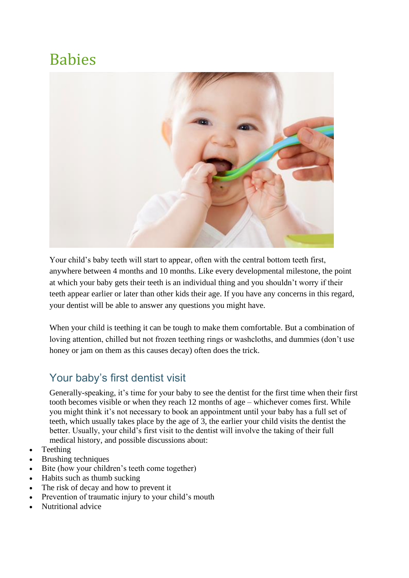## Babies



Your child's baby teeth will start to appear, often with the central bottom teeth first, anywhere between 4 months and 10 months. Like every developmental milestone, the point at which your baby gets their teeth is an individual thing and you shouldn't worry if their teeth appear earlier or later than other kids their age. If you have any concerns in this regard, your dentist will be able to answer any questions you might have.

When your child is teething it can be tough to make them comfortable. But a combination of loving attention, chilled but not frozen teething rings or washcloths, and dummies (don't use honey or jam on them as this causes decay) often does the trick.

## Your baby's first dentist visit

Generally-speaking, it's time for your baby to see the dentist for the first time when their first tooth becomes visible or when they reach 12 months of age – whichever comes first. While you might think it's not necessary to book an appointment until your baby has a full set of teeth, which usually takes place by the age of 3, the earlier your child visits the dentist the better. Usually, your child's first visit to the dentist will involve the taking of their full medical history, and possible discussions about:

- Teething
- Brushing techniques
- Bite (how your children's teeth come together)
- Habits such as thumb sucking
- The risk of decay and how to prevent it
- Prevention of traumatic injury to your child's mouth
- Nutritional advice